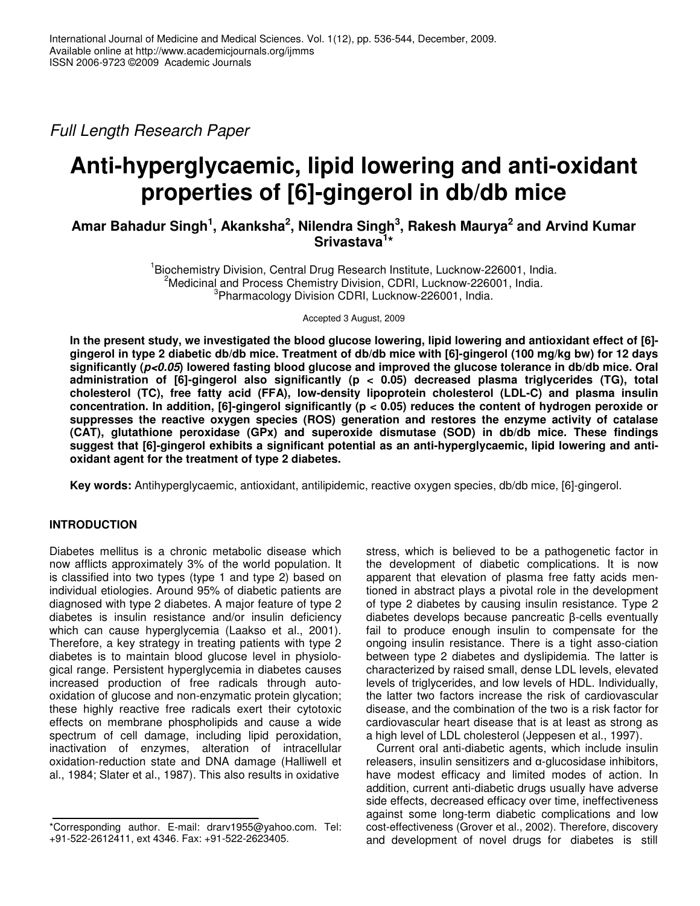*Full Length Research Paper*

# **Anti-hyperglycaemic, lipid lowering and anti-oxidant properties of [6]-gingerol in db/db mice**

**Amar Bahadur Singh 1 , Akanksha 2 , Nilendra Singh 3 , Rakesh Maurya 2 and Arvind Kumar Srivastava 1 \***

> <sup>1</sup> Biochemistry Division, Central Drug Research Institute, Lucknow-226001, India. <sup>2</sup>Medicinal and Process Chemistry Division, CDRI, Lucknow-226001, India. <sup>3</sup>Pharmacology Division CDRI, Lucknow-226001, India.

> > Accepted 3 August, 2009

In the present study, we investigated the blood glucose lowering, lipid lowering and antioxidant effect of [6]gingerol in type 2 diabetic db/db mice. Treatment of db/db mice with [6]-gingerol (100 mg/kg bw) for 12 days significantly ( $p<0.05$ ) lowered fasting blood glucose and improved the glucose tolerance in db/db mice. Oral **administration of [6]-gingerol also significantly (p < 0.05) decreased plasma triglycerides (TG), total cholesterol (TC), free fatty acid (FFA), low-density lipoprotein cholesterol (LDL-C) and plasma insulin concentration. In addition, [6]-gingerol significantly (p < 0.05) reduces the content of hydrogen peroxide or suppresses the reactive oxygen species (ROS) generation and restores the enzyme activity of catalase (CAT), glutathione peroxidase (GPx) and superoxide dismutase (SOD) in db/db mice. These findings suggest that [6]-gingerol exhibits a significant potential as an anti-hyperglycaemic, lipid lowering and antioxidant agent for the treatment of type 2 diabetes.**

**Key words:** Antihyperglycaemic, antioxidant, antilipidemic, reactive oxygen species, db/db mice, [6]-gingerol.

# **INTRODUCTION**

Diabetes mellitus is a chronic metabolic disease which now afflicts approximately 3% of the world population. It is classified into two types (type 1 and type 2) based on individual etiologies. Around 95% of diabetic patients are diagnosed with type 2 diabetes. A major feature of type 2 diabetes is insulin resistance and/or insulin deficiency which can cause hyperglycemia (Laakso et al., 2001). Therefore, a key strategy in treating patients with type 2 diabetes is to maintain blood glucose level in physiological range. Persistent hyperglycemia in diabetes causes increased production of free radicals through autooxidation of glucose and non-enzymatic protein glycation; these highly reactive free radicals exert their cytotoxic effects on membrane phospholipids and cause a wide spectrum of cell damage, including lipid peroxidation, inactivation of enzymes, alteration of intracellular oxidation-reduction state and DNA damage (Halliwell et al., 1984; Slater et al., 1987). This also results in oxidative

stress, which is believed to be a pathogenetic factor in the development of diabetic complications. It is now apparent that elevation of plasma free fatty acids mentioned in abstract plays a pivotal role in the development of type 2 diabetes by causing insulin resistance. Type 2 diabetes develops because pancreatic  $\beta$ -cells eventually fail to produce enough insulin to compensate for the ongoing insulin resistance. There is a tight asso-ciation between type 2 diabetes and dyslipidemia. The latter is characterized by raised small, dense LDL levels, elevated levels of triglycerides, and low levels of HDL. Individually, the latter two factors increase the risk of cardiovascular disease, and the combination of the two is a risk factor for cardiovascular heart disease that is at least as strong as a high level of LDL cholesterol (Jeppesen et al., 1997).

Current oral anti-diabetic agents, which include insulin  $r$ eleasers, insulin sensitizers and  $\alpha$ -glucosidase inhibitors, have modest efficacy and limited modes of action. In addition, current anti-diabetic drugs usually have adverse side effects, decreased efficacy over time, ineffectiveness against some long-term diabetic complications and low cost-effectiveness (Grover et al., 2002). Therefore, discovery and development of novel drugs for diabetes is still

<sup>\*</sup>Corresponding author. E-mail: drarv1955@yahoo.com. Tel: +91-522-2612411, ext 4346. Fax: +91-522-2623405.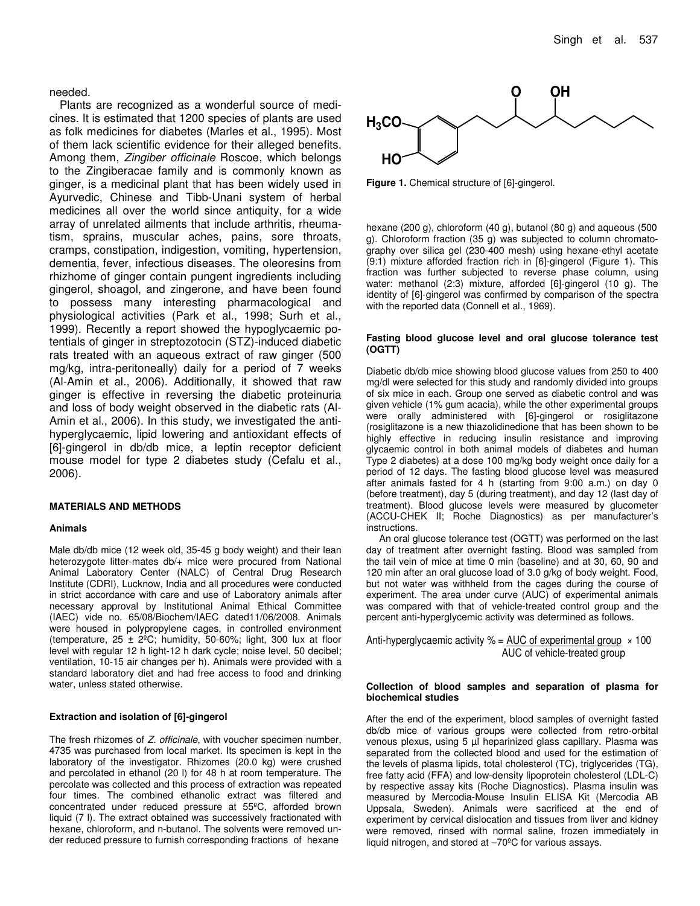## needed.

Plants are recognized as a wonderful source of medicines. It is estimated that 1200 species of plants are used as folk medicines for diabetes (Marles et al., 1995). Most of them lack scientific evidence for their alleged benefits. Among them, *Zingiber officinale* Roscoe, which belongs to the Zingiberacae family and is commonly known as ginger, is a medicinal plant that has been widely used in Ayurvedic, Chinese and Tibb-Unani system of herbal medicines all over the world since antiquity, for a wide array of unrelated ailments that include arthritis, rheumatism, sprains, muscular aches, pains, sore throats, cramps, constipation, indigestion, vomiting, hypertension, dementia, fever, infectious diseases. The oleoresins from rhizhome of ginger contain pungent ingredients including gingerol, shoagol, and zingerone, and have been found to possess many interesting pharmacological and physiological activities (Park et al., 1998; Surh et al., 1999). Recently a report showed the hypoglycaemic potentials of ginger in streptozotocin (STZ)-induced diabetic rats treated with an aqueous extract of raw ginger (500 mg/kg, intra-peritoneally) daily for a period of 7 weeks (Al-Amin et al., 2006). Additionally, it showed that raw ginger is effective in reversing the diabetic proteinuria and loss of body weight observed in the diabetic rats (Al-Amin et al., 2006). In this study, we investigated the antihyperglycaemic, lipid lowering and antioxidant effects of [6]-gingerol in db/db mice, a leptin receptor deficient mouse model for type 2 diabetes study (Cefalu et al., 2006).

### **MATERIALS AND METHODS**

#### **Animals**

Male db/db mice (12 week old, 35-45 g body weight) and their lean heterozygote litter-mates db/+ mice were procured from National Animal Laboratory Center (NALC) of Central Drug Research Institute (CDRI), Lucknow, India and all procedures were conducted in strict accordance with care and use of Laboratory animals after necessary approval by Institutional Animal Ethical Committee (IAEC) vide no. 65/08/Biochem/IAEC dated11/06/2008. Animals were housed in polypropylene cages, in controlled environment (temperature,  $25 \pm 2^{\circ}$ C; humidity, 50-60%; light, 300 lux at floor level with regular 12 h light-12 h dark cycle; noise level, 50 decibel; ventilation, 10-15 air changes per h). Animals were provided with a standard laboratory diet and had free access to food and drinking water, unless stated otherwise.

# **Extraction and isolation of [6]-gingerol**

The fresh rhizomes of *Z. officinale*, with voucher specimen number, 4735 was purchased from local market. Its specimen is kept in the laboratory of the investigator. Rhizomes (20.0 kg) were crushed and percolated in ethanol (20 l) for 48 h at room temperature. The percolate was collected and this process of extraction was repeated four times. The combined ethanolic extract was filtered and concentrated under reduced pressure at 55ºC, afforded brown liquid (7 l). The extract obtained was successively fractionated with hexane, chloroform, and n-butanol. The solvents were removed under reduced pressure to furnish corresponding fractions of hexane



**Figure 1.** Chemical structure of [6]-gingerol.

hexane (200 g), chloroform (40 g), butanol (80 g) and aqueous (500 g). Chloroform fraction (35 g) was subjected to column chromatography over silica gel (230-400 mesh) using hexane-ethyl acetate (9:1) mixture afforded fraction rich in [6]-gingerol (Figure 1). This fraction was further subjected to reverse phase column, using water: methanol (2:3) mixture, afforded [6]-gingerol (10 g). The identity of [6]-gingerol was confirmed by comparison of the spectra with the reported data (Connell et al., 1969).

#### **Fasting blood glucose level and oral glucose tolerance test (OGTT)**

Diabetic db/db mice showing blood glucose values from 250 to 400 mg/dl were selected for this study and randomly divided into groups of six mice in each. Group one served as diabetic control and was given vehicle (1% gum acacia), while the other experimental groups were orally administered with [6]-gingerol or rosiglitazone (rosiglitazone is a new thiazolidinedione that has been shown to be highly effective in reducing insulin resistance and improving glycaemic control in both animal models of diabetes and human Type 2 diabetes) at a dose 100 mg/kg body weight once daily for a period of 12 days. The fasting blood glucose level was measured after animals fasted for 4 h (starting from 9:00 a.m.) on day 0 (before treatment), day 5 (during treatment), and day 12 (last day of treatment). Blood glucose levels were measured by glucometer (ACCU-CHEK II; Roche Diagnostics) as per manufacturer's instructions.

An oral glucose tolerance test (OGTT) was performed on the last day of treatment after overnight fasting. Blood was sampled from the tail vein of mice at time 0 min (baseline) and at 30, 60, 90 and 120 min after an oral glucose load of 3.0 g/kg of body weight. Food, but not water was withheld from the cages during the course of experiment. The area under curve (AUC) of experimental animals was compared with that of vehicle-treated control group and the percent anti-hyperglycemic activity was determined as follows.

Anti-hyperglycaemic activity  $% = AUC$  of experimental group  $\times$  100 AUC of vehicle-treated group

#### **Collection of blood samples and separation of plasma for biochemical studies**

After the end of the experiment, blood samples of overnight fasted db/db mice of various groups were collected from retro-orbital venous plexus, using 5 µl heparinized glass capillary. Plasma was separated from the collected blood and used for the estimation of the levels of plasma lipids, total cholesterol (TC), triglycerides (TG), free fatty acid (FFA) and low-density lipoprotein cholesterol (LDL-C) by respective assay kits (Roche Diagnostics). Plasma insulin was measured by Mercodia-Mouse Insulin ELISA Kit (Mercodia AB Uppsala, Sweden). Animals were sacrificed at the end of experiment by cervical dislocation and tissues from liver and kidney were removed, rinsed with normal saline, frozen immediately in liquid nitrogen, and stored at –70ºC for various assays.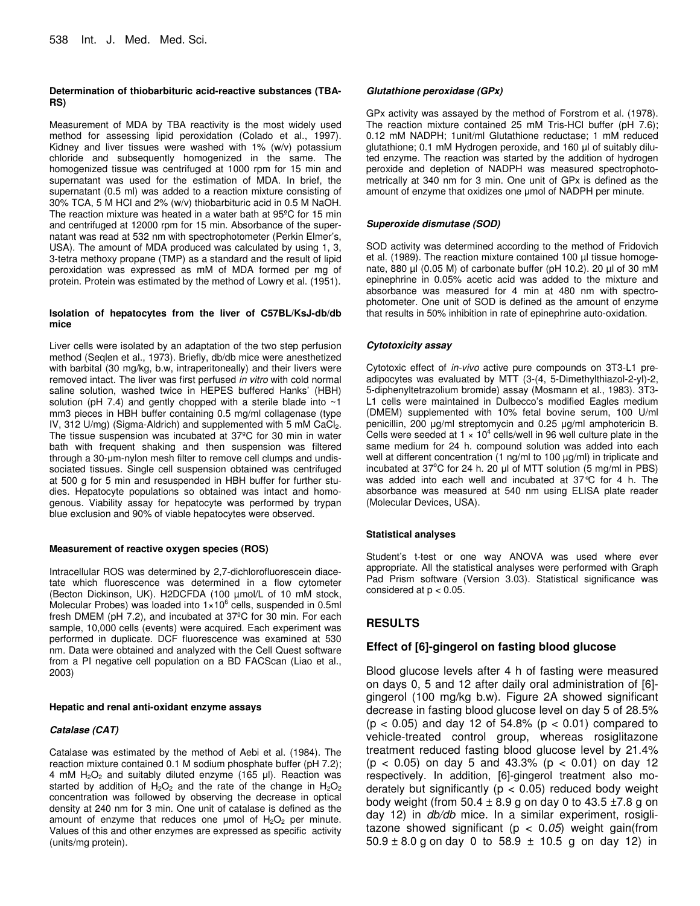## **Determination of thiobarbituric acid-reactive substances (TBA-RS)**

Measurement of MDA by TBA reactivity is the most widely used method for assessing lipid peroxidation (Colado et al., 1997). Kidney and liver tissues were washed with 1% (w/v) potassium chloride and subsequently homogenized in the same. The homogenized tissue was centrifuged at 1000 rpm for 15 min and supernatant was used for the estimation of MDA. In brief, the supernatant (0.5 ml) was added to a reaction mixture consisting of 30% TCA, 5 M HCl and 2% (w/v) thiobarbituric acid in 0.5 M NaOH. The reaction mixture was heated in a water bath at 95ºC for 15 min and centrifuged at 12000 rpm for 15 min. Absorbance of the supernatant was read at 532 nm with spectrophotometer (Perkin Elmer's, USA). The amount of MDA produced was calculated by using 1, 3, 3-tetra methoxy propane (TMP) as a standard and the result of lipid peroxidation was expressed as mM of MDA formed per mg of protein. Protein was estimated by the method of Lowry et al. (1951).

### **Isolation of hepatocytes from the liver of C57BL/KsJ-db/db mice**

Liver cells were isolated by an adaptation of the two step perfusion method (Seqlen et al., 1973). Briefly, db/db mice were anesthetized with barbital (30 mg/kg, b.w, intraperitoneally) and their livers were removed intact. The liver was first perfused *in vitro* with cold normal saline solution, washed twice in HEPES buffered Hanks' (HBH) solution (pH 7.4) and gently chopped with a sterile blade into ~1 mm3 pieces in HBH buffer containing 0.5 mg/ml collagenase (type IV, 312 U/mg) (Sigma-Aldrich) and supplemented with 5 mM  $CaCl<sub>2</sub>$ . The tissue suspension was incubated at 37ºC for 30 min in water bath with frequent shaking and then suspension was filtered through a 30-µm-nylon mesh filter to remove cell clumps and undissociated tissues. Single cell suspension obtained was centrifuged at 500 g for 5 min and resuspended in HBH buffer for further studies. Hepatocyte populations so obtained was intact and homogenous. Viability assay for hepatocyte was performed by trypan blue exclusion and 90% of viable hepatocytes were observed.

### **Measurement of reactive oxygen species (ROS)**

Intracellular ROS was determined by 2,7-dichlorofluorescein diacetate which fluorescence was determined in a flow cytometer (Becton Dickinson, UK). H2DCFDA (100 µmol/L of 10 mM stock, Molecular Probes) was loaded into  $1\times10^6$  cells, suspended in 0.5ml fresh DMEM (pH 7.2), and incubated at 37ºC for 30 min. For each sample, 10,000 cells (events) were acquired. Each experiment was performed in duplicate. DCF fluorescence was examined at 530 nm. Data were obtained and analyzed with the Cell Quest software from a PI negative cell population on a BD FACScan (Liao et al., 2003)

### **Hepatic and renal anti-oxidant enzyme assays**

## *Catalase (CAT)*

Catalase was estimated by the method of Aebi et al. (1984). The reaction mixture contained 0.1 M sodium phosphate buffer (pH 7.2); 4 mM  $H_2O_2$  and suitably diluted enzyme (165 µl). Reaction was started by addition of  $H_2O_2$  and the rate of the change in  $H_2O_2$ concentration was followed by observing the decrease in optical density at 240 nm for 3 min. One unit of catalase is defined as the amount of enzyme that reduces one  $\mu$ mol of  $H_2O_2$  per minute. Values of this and other enzymes are expressed as specific activity (units/mg protein).

## *Glutathione peroxidase (GPx)*

GPx activity was assayed by the method of Forstrom et al. (1978). The reaction mixture contained 25 mM Tris-HCl buffer (pH 7.6); 0.12 mM NADPH; 1unit/ml Glutathione reductase; 1 mM reduced glutathione; 0.1 mM Hydrogen peroxide, and 160 µl of suitably diluted enzyme. The reaction was started by the addition of hydrogen peroxide and depletion of NADPH was measured spectrophotometrically at 340 nm for 3 min. One unit of GPx is defined as the amount of enzyme that oxidizes one umol of NADPH per minute.

## *Superoxide dismutase (SOD)*

SOD activity was determined according to the method of Fridovich et al. (1989). The reaction mixture contained 100 µl tissue homogenate, 880 µl (0.05 M) of carbonate buffer (pH 10.2). 20 µl of 30 mM epinephrine in 0.05% acetic acid was added to the mixture and absorbance was measured for 4 min at 480 nm with spectrophotometer. One unit of SOD is defined as the amount of enzyme that results in 50% inhibition in rate of epinephrine auto-oxidation.

## *Cytotoxicity assay*

Cytotoxic effect of *in-vivo* active pure compounds on 3T3-L1 preadipocytes was evaluated by MTT (3-(4, 5-Dimethylthiazol-2-yl)-2, 5-diphenyltetrazolium bromide) assay (Mosmann et al., 1983). 3T3- L1 cells were maintained in Dulbecco's modified Eagles medium (DMEM) supplemented with 10% fetal bovine serum, 100 U/ml penicillin, 200 µg/ml streptomycin and 0.25 µg/ml amphotericin B. Cells were seeded at 1  $\times$  10<sup>4</sup> cells/well in 96 well culture plate in the same medium for 24 h. compound solution was added into each well at different concentration (1 ng/ml to 100 µg/ml) in triplicate and incubated at 37°C for 24 h. 20 µl of MTT solution (5 mg/ml in PBS) was added into each well and incubated at 37°C for 4 h. The absorbance was measured at 540 nm using ELISA plate reader (Molecular Devices, USA).

## **Statistical analyses**

Student's t-test or one way ANOVA was used where ever appropriate. All the statistical analyses were performed with Graph Pad Prism software (Version 3.03). Statistical significance was considered at  $p < 0.05$ .

# **RESULTS**

# **Effect of [6]-gingerol on fasting blood glucose**

Blood glucose levels after 4 h of fasting were measured on days 0, 5 and 12 after daily oral administration of [6] gingerol (100 mg/kg b.w). Figure 2A showed significant decrease in fasting blood glucose level on day 5 of 28.5% (p < 0.05) and day 12 of 54.8% (p < 0.01) compared to vehicle-treated control group, whereas rosiglitazone treatment reduced fasting blood glucose level by 21.4% (p < 0.05) on day 5 and 43.3% (p < 0.01) on day 12 respectively. In addition, [6]-gingerol treatment also moderately but significantly ( $p < 0.05$ ) reduced body weight body weight (from 50.4  $\pm$  8.9 g on day 0 to 43.5  $\pm$ 7.8 g on day 12) in *db/db* mice. In a similar experiment, rosiglitazone showed significant (p < 0.*05*) weight gain(from  $50.9 \pm 8.0$  g on day 0 to  $58.9 \pm 10.5$  g on day 12) in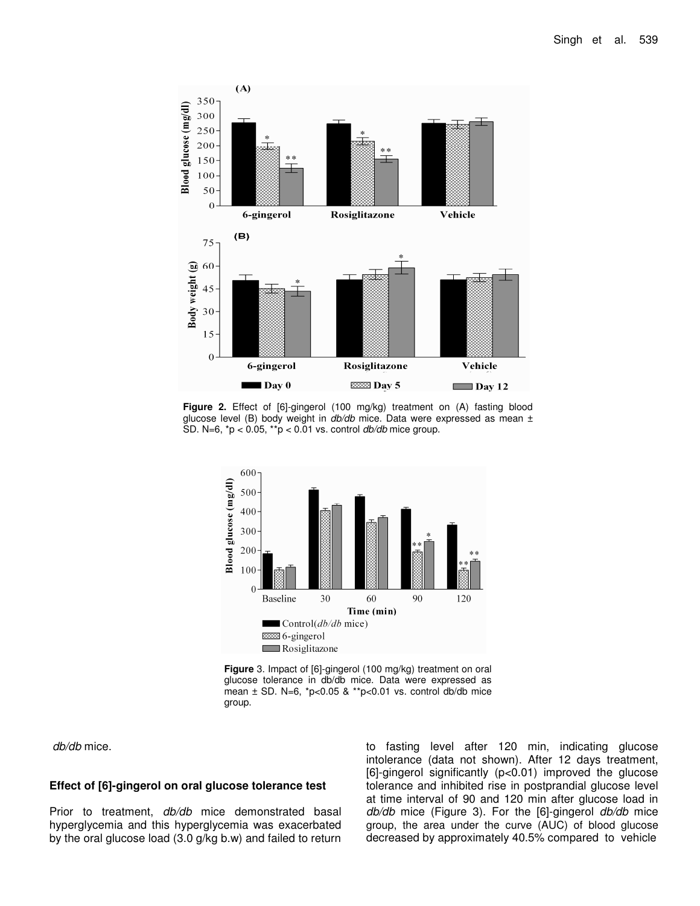

**Figure 2.** Effect of [6]-gingerol (100 mg/kg) treatment on (A) fasting blood glucose level (B) body weight in *db/db* mice. Data were expressed as mean ± SD. N=6, \*p < 0.05, \*\*p < 0.01 vs. control *db/db* mice group.



**Figure** 3. Impact of [6]-gingerol (100 mg/kg) treatment on oral glucose tolerance in db/db mice. Data were expressed as mean ± SD. N=6, \*p<0.05 & \*\*p<0.01 vs. control db/db mice group.

*db/db* mice.

## **Effect of [6]-gingerol on oral glucose tolerance test**

Prior to treatment, *db/db* mice demonstrated basal hyperglycemia and this hyperglycemia was exacerbated by the oral glucose load (3.0 g/kg b.w) and failed to return

to fasting level after 120 min, indicating glucose intolerance (data not shown). After 12 days treatment, [6]-gingerol significantly (p<0.01) improved the glucose tolerance and inhibited rise in postprandial glucose level at time interval of 90 and 120 min after glucose load in *db/db* mice (Figure 3). For the [6]-gingerol *db/db* mice group, the area under the curve (AUC) of blood glucose decreased by approximately 40.5% compared to vehicle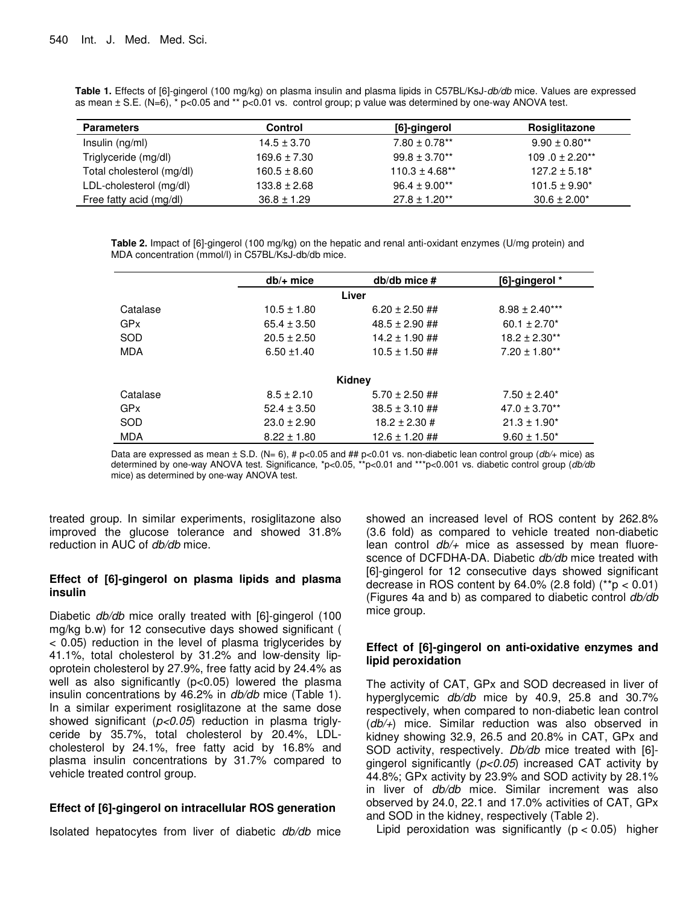**Table 1.** Effects of [6]-gingerol (100 mg/kg) on plasma insulin and plasma lipids in C57BL/KsJ-*db/db* mice. Values are expressed as mean  $\pm$  S.E. (N=6),  $*$  p<0.05 and  $**$  p<0.01 vs. control group; p value was determined by one-way ANOVA test.

| <b>Parameters</b>         | <b>Control</b>   | [6]-gingerol       | Rosiglitazone                  |
|---------------------------|------------------|--------------------|--------------------------------|
| Insulin (ng/ml)           | $14.5 \pm 3.70$  | $7.80 \pm 0.78$ ** | $9.90 \pm 0.80$ <sup>**</sup>  |
| Triglyceride (mg/dl)      | $169.6 \pm 7.30$ | $99.8 \pm 3.70$ ** | $109.0 \pm 2.20$ <sup>**</sup> |
| Total cholesterol (mg/dl) | $160.5 \pm 8.60$ | $110.3 \pm 4.68**$ | $127.2 \pm 5.18^*$             |
| LDL-cholesterol (mg/dl)   | $133.8 \pm 2.68$ | $96.4 \pm 9.00**$  | $101.5 \pm 9.90^*$             |
| Free fatty acid (mg/dl)   | $36.8 \pm 1.29$  | $27.8 \pm 1.20**$  | $30.6 \pm 2.00*$               |

**Table 2.** Impact of [6]-gingerol (100 mg/kg) on the hepatic and renal anti-oxidant enzymes (U/mg protein) and MDA concentration (mmol/l) in C57BL/KsJ-db/db mice.

| $db/+$ mice     | $db/db$ mice $#$   | [6]-gingerol *     |
|-----------------|--------------------|--------------------|
|                 |                    |                    |
| $10.5 \pm 1.80$ | $6.20 \pm 2.50$ ## | $8.98 \pm 2.40***$ |
| $65.4 \pm 3.50$ | $48.5 \pm 2.90$ ## | $60.1 \pm 2.70^*$  |
| $20.5 \pm 2.50$ | $14.2 \pm 1.90$ ## | $18.2 \pm 2.30**$  |
| $6.50 \pm 1.40$ | $10.5 \pm 1.50$ ## | $7.20 \pm 1.80**$  |
|                 |                    |                    |
|                 |                    |                    |
| $8.5 \pm 2.10$  | $5.70 \pm 2.50$ ## | $7.50 \pm 2.40^*$  |
| $52.4 \pm 3.50$ | $38.5 \pm 3.10$ ## | $47.0 \pm 3.70**$  |
| $23.0 \pm 2.90$ | $18.2 \pm 2.30 \#$ | $21.3 \pm 1.90^*$  |
| $8.22 \pm 1.80$ | $12.6 \pm 1.20$ ## | $9.60 \pm 1.50^*$  |
|                 |                    | Liver<br>Kidney    |

Data are expressed as mean ± S.D. (N= 6), # p<0.05 and ## p<0.01 vs. non-diabetic lean control group (*db/*+ mice) as determined by one-way ANOVA test. Significance, \*p<0.05, \*\*p<0.01 and \*\*\*p<0.001 vs. diabetic control group (*db/db* mice) as determined by one-way ANOVA test.

treated group. In similar experiments, rosiglitazone also improved the glucose tolerance and showed 31.8% reduction in AUC of *db/db* mice.

# **Effect of [6]-gingerol on plasma lipids and plasma insulin**

Diabetic *db/db* mice orally treated with [6]-gingerol (100 mg/kg b.w) for 12 consecutive days showed significant ( < 0.05) reduction in the level of plasma triglycerides by 41.1%, total cholesterol by 31.2% and low-density lipoprotein cholesterol by 27.9%, free fatty acid by 24.4% as well as also significantly (p<0.05) lowered the plasma insulin concentrations by 46.2% in *db/db* mice (Table 1). In a similar experiment rosiglitazone at the same dose showed significant (*p<0.05*) reduction in plasma triglyceride by 35.7%, total cholesterol by 20.4%, LDLcholesterol by 24.1%, free fatty acid by 16.8% and plasma insulin concentrations by 31.7% compared to vehicle treated control group.

# **Effect of [6]-gingerol on intracellular ROS generation**

Isolated hepatocytes from liver of diabetic *db/db* mice

showed an increased level of ROS content by 262.8% (3.6 fold) as compared to vehicle treated non-diabetic lean control *db/+* mice as assessed by mean fluorescence of DCFDHA-DA. Diabetic *db/db* mice treated with [6]-gingerol for 12 consecutive days showed significant decrease in ROS content by  $64.0\%$  (2.8 fold) (\*\*p < 0.01) (Figures 4a and b) as compared to diabetic control *db/db* mice group.

# **Effect of [6]-gingerol on anti-oxidative enzymes and lipid peroxidation**

The activity of CAT, GPx and SOD decreased in liver of hyperglycemic *db/db* mice by 40.9, 25.8 and 30.7% respectively, when compared to non-diabetic lean control (*db/+*) mice. Similar reduction was also observed in kidney showing 32.9, 26.5 and 20.8% in CAT, GPx and SOD activity, respectively. *Db/db* mice treated with [6] gingerol significantly (*p<0.05*) increased CAT activity by 44.8%; GPx activity by 23.9% and SOD activity by 28.1% in liver of *db/db* mice. Similar increment was also observed by 24.0, 22.1 and 17.0% activities of CAT, GPx and SOD in the kidney, respectively (Table 2).

Lipid peroxidation was significantly  $(p < 0.05)$  higher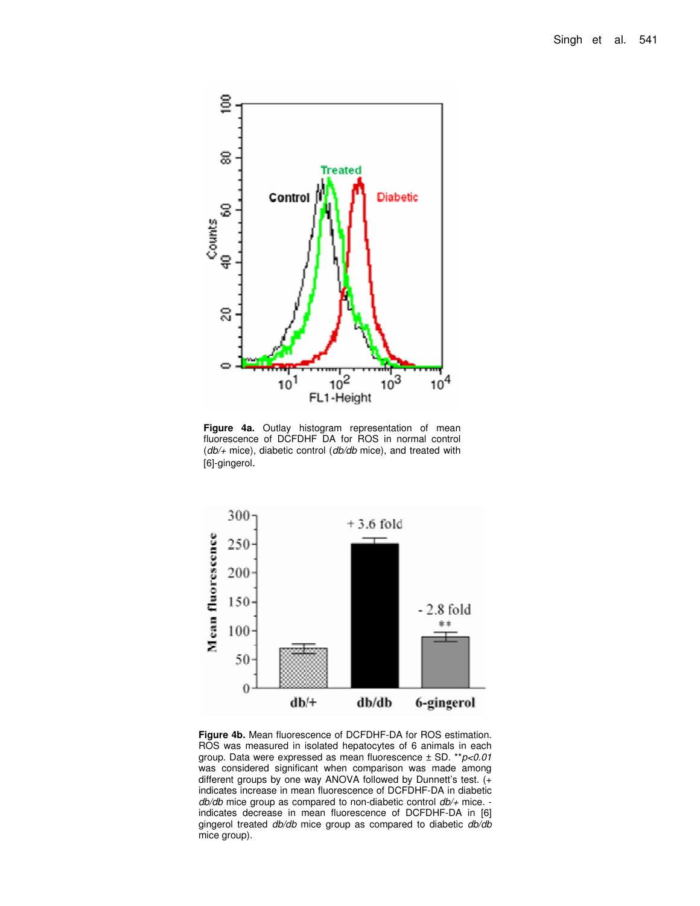

**Figure 4a.** Outlay histogram representation of mean fluorescence of DCFDHF DA for ROS in normal control (*db/+* mice), diabetic control (*db/db* mice), and treated with [6]-gingerol.



**Figure 4b.** Mean fluorescence of DCFDHF-DA for ROS estimation. ROS was measured in isolated hepatocytes of 6 animals in each group. Data were expressed as mean fluorescence ± SD. \*\**p<0.01* was considered significant when comparison was made among different groups by one way ANOVA followed by Dunnett's test. (+ indicates increase in mean fluorescence of DCFDHF-DA in diabetic *db/db* mice group as compared to non-diabetic control *db/+* mice. indicates decrease in mean fluorescence of DCFDHF-DA in [6] gingerol treated *db/db* mice group as compared to diabetic *db/db* mice group).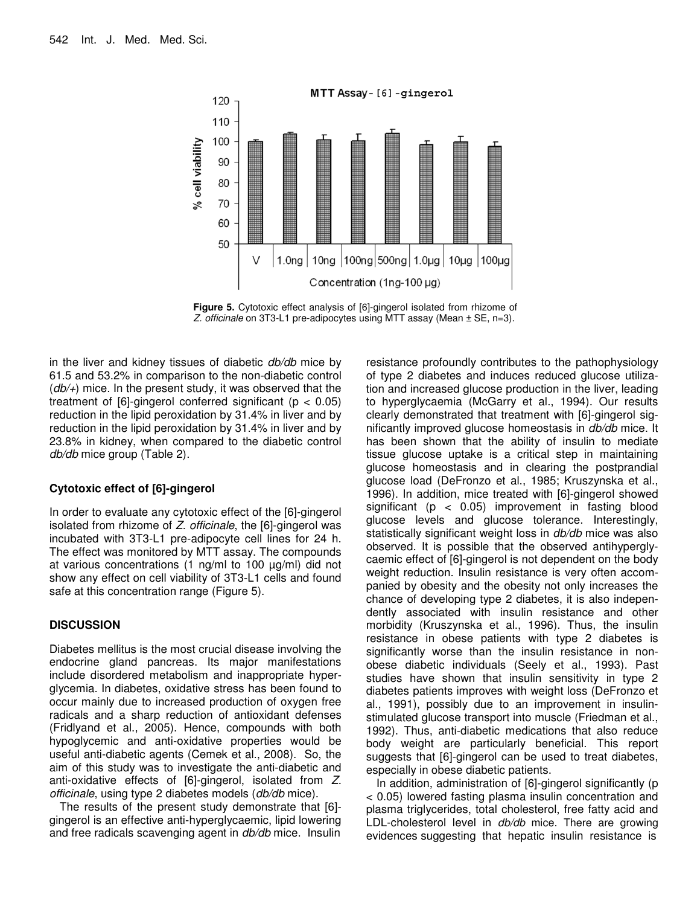

**Figure 5.** Cytotoxic effect analysis of [6]-gingerol isolated from rhizome of *Z. officinale* on 3T3-L1 pre-adipocytes using MTT assay (Mean ± SE, n=3).

in the liver and kidney tissues of diabetic *db/db* mice by 61.5 and 53.2% in comparison to the non-diabetic control (*db/+*) mice. In the present study, it was observed that the treatment of  $[6]$ -gingerol conferred significant ( $p < 0.05$ ) reduction in the lipid peroxidation by 31.4% in liver and by reduction in the lipid peroxidation by 31.4% in liver and by 23.8% in kidney, when compared to the diabetic control *db/db* mice group (Table 2).

## **Cytotoxic effect of [6]-gingerol**

In order to evaluate any cytotoxic effect of the [6]-gingerol isolated from rhizome of *Z. officinale*, the [6]-gingerol was incubated with 3T3-L1 pre-adipocyte cell lines for 24 h. The effect was monitored by MTT assay. The compounds at various concentrations (1 ng/ml to 100 µg/ml) did not show any effect on cell viability of 3T3-L1 cells and found safe at this concentration range (Figure 5).

## **DISCUSSION**

Diabetes mellitus is the most crucial disease involving the endocrine gland pancreas. Its major manifestations include disordered metabolism and inappropriate hyperglycemia. In diabetes, oxidative stress has been found to occur mainly due to increased production of oxygen free radicals and a sharp reduction of antioxidant defenses (Fridlyand et al., 2005). Hence, compounds with both hypoglycemic and anti-oxidative properties would be useful anti-diabetic agents (Cemek et al., 2008). So, the aim of this study was to investigate the anti-diabetic and anti-oxidative effects of [6]-gingerol, isolated from *Z. officinale*, using type 2 diabetes models (*db/db* mice).

The results of the present study demonstrate that [6] gingerol is an effective anti-hyperglycaemic, lipid lowering and free radicals scavenging agent in *db/db* mice. Insulin

resistance profoundly contributes to the pathophysiology of type 2 diabetes and induces reduced glucose utilization and increased glucose production in the liver, leading to hyperglycaemia (McGarry et al., 1994). Our results clearly demonstrated that treatment with [6]-gingerol significantly improved glucose homeostasis in *db/db* mice. It has been shown that the ability of insulin to mediate tissue glucose uptake is a critical step in maintaining glucose homeostasis and in clearing the postprandial glucose load (DeFronzo et al., 1985; Kruszynska et al., 1996). In addition, mice treated with [6]-gingerol showed significant (p < 0.05) improvement in fasting blood glucose levels and glucose tolerance. Interestingly, statistically significant weight loss in *db/db* mice was also observed. It is possible that the observed antihyperglycaemic effect of [6]-gingerol is not dependent on the body weight reduction. Insulin resistance is very often accompanied by obesity and the obesity not only increases the chance of developing type 2 diabetes, it is also independently associated with insulin resistance and other morbidity (Kruszynska et al., 1996). Thus, the insulin resistance in obese patients with type 2 diabetes is significantly worse than the insulin resistance in nonobese diabetic individuals (Seely et al., 1993). Past studies have shown that insulin sensitivity in type 2 diabetes patients improves with weight loss (DeFronzo et al., 1991), possibly due to an improvement in insulinstimulated glucose transport into muscle (Friedman et al., 1992). Thus, anti-diabetic medications that also reduce body weight are particularly beneficial. This report suggests that [6]-gingerol can be used to treat diabetes, especially in obese diabetic patients.

In addition, administration of [6]-gingerol significantly (p < 0.05) lowered fasting plasma insulin concentration and plasma triglycerides, total cholesterol, free fatty acid and LDL-cholesterol level in *db/db* mice. There are growing evidences suggesting that hepatic insulin resistance is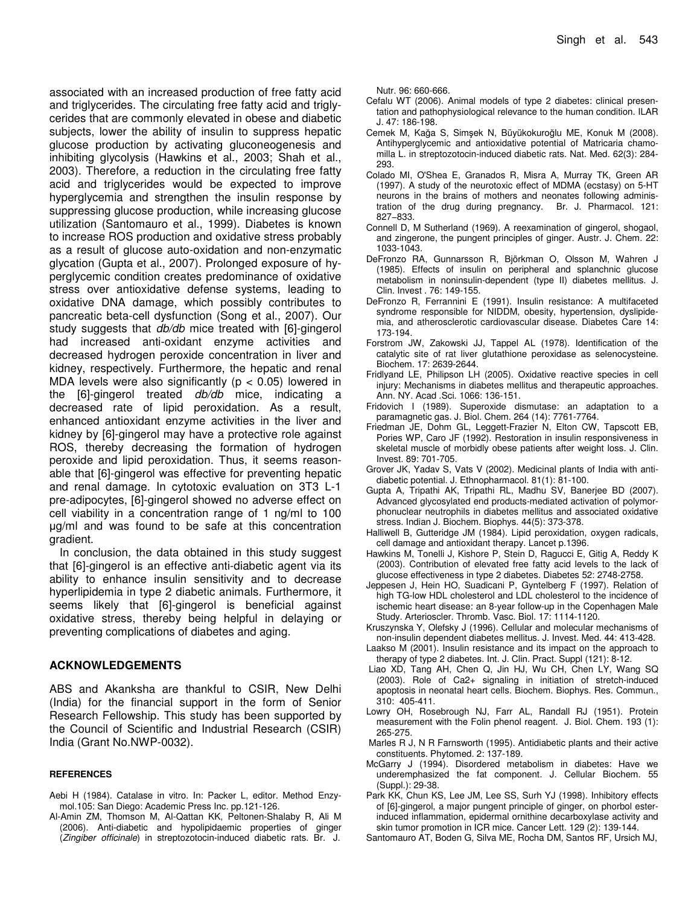associated with an increased production of free fatty acid and triglycerides. The circulating free fatty acid and triglycerides that are commonly elevated in obese and diabetic subjects, lower the ability of insulin to suppress hepatic glucose production by activating gluconeogenesis and inhibiting glycolysis (Hawkins et al., 2003; Shah et al., 2003). Therefore, a reduction in the circulating free fatty acid and triglycerides would be expected to improve hyperglycemia and strengthen the insulin response by suppressing glucose production, while increasing glucose utilization (Santomauro et al., 1999). Diabetes is known to increase ROS production and oxidative stress probably as a result of glucose auto-oxidation and non-enzymatic glycation (Gupta et al., 2007). Prolonged exposure of hyperglycemic condition creates predominance of oxidative stress over antioxidative defense systems, leading to oxidative DNA damage, which possibly contributes to pancreatic beta-cell dysfunction (Song et al., 2007). Our study suggests that *db/db* mice treated with [6]-gingerol had increased anti-oxidant enzyme activities and decreased hydrogen peroxide concentration in liver and kidney, respectively. Furthermore, the hepatic and renal MDA levels were also significantly ( $p < 0.05$ ) lowered in the [6]-gingerol treated *db/db* mice, indicating a decreased rate of lipid peroxidation. As a result, enhanced antioxidant enzyme activities in the liver and kidney by [6]-gingerol may have a protective role against ROS, thereby decreasing the formation of hydrogen peroxide and lipid peroxidation. Thus, it seems reasonable that [6]-gingerol was effective for preventing hepatic and renal damage. In cytotoxic evaluation on 3T3 L-1 pre-adipocytes, [6]-gingerol showed no adverse effect on cell viability in a concentration range of 1 ng/ml to 100 g/ml and was found to be safe at this concentration gradient.

In conclusion, the data obtained in this study suggest that [6]-gingerol is an effective anti-diabetic agent via its ability to enhance insulin sensitivity and to decrease hyperlipidemia in type 2 diabetic animals. Furthermore, it seems likely that [6]-gingerol is beneficial against oxidative stress, thereby being helpful in delaying or preventing complications of diabetes and aging.

## **ACKNOWLEDGEMENTS**

ABS and Akanksha are thankful to CSIR, New Delhi (India) for the financial support in the form of Senior Research Fellowship. This study has been supported by the Council of Scientific and Industrial Research (CSIR) India (Grant No.NWP-0032).

#### **REFERENCES**

- Aebi H (1984). Catalase in vitro. In: Packer L, editor. Method Enzymol.105: San Diego: Academic Press Inc. pp.121-126.
- Al-Amin ZM, Thomson M, Al-Qattan KK, Peltonen-Shalaby R, Ali M (2006). Anti-diabetic and hypolipidaemic properties of ginger (*Zingiber officinale*) in streptozotocin-induced diabetic rats. Br. J.

Nutr. 96: 660-666.

- Cefalu WT (2006). Animal models of type 2 diabetes: clinical presentation and pathophysiological relevance to the human condition. ILAR J. 47: 186-198.
- Cemek M, Kağa S, Simşek N, Büyükokuroğlu ME, Konuk M (2008). Antihyperglycemic and antioxidative potential of Matricaria chamomilla L. in streptozotocin-induced diabetic rats. Nat. Med. 62(3): 284- 293.
- Colado MI, O'Shea E, Granados R, Misra A, Murray TK, Green AR (1997). A study of the neurotoxic effect of MDMA (ecstasy) on 5-HT neurons in the brains of mothers and neonates following administration of the drug during pregnancy. Br. J. Pharmacol. 121: 827−833.
- Connell D, M Sutherland (1969). A reexamination of gingerol, shogaol, and zingerone, the pungent principles of ginger. Austr. J. Chem. 22: 1033-1043.
- DeFronzo RA, Gunnarsson R, Björkman O, Olsson M, Wahren J (1985). Effects of insulin on peripheral and splanchnic glucose metabolism in noninsulin-dependent (type II) diabetes mellitus. J. Clin. Invest . 76: 149-155.
- DeFronzo R, Ferrannini E (1991). Insulin resistance: A multifaceted syndrome responsible for NIDDM, obesity, hypertension, dyslipidemia, and atherosclerotic cardiovascular disease. Diabetes Care 14: 173-194.
- Forstrom JW, Zakowski JJ, Tappel AL (1978). Identification of the catalytic site of rat liver glutathione peroxidase as selenocysteine. Biochem. 17: 2639-2644.
- Fridlyand LE, Philipson LH (2005). Oxidative reactive species in cell injury: Mechanisms in diabetes mellitus and therapeutic approaches. Ann. NY. Acad .Sci. 1066: 136-151.
- Fridovich I (1989). Superoxide dismutase: an adaptation to a paramagnetic gas. J. Biol. Chem. 264 (14): 7761-7764.
- Friedman JE, Dohm GL, Leggett-Frazier N, Elton CW, Tapscott EB, Pories WP, Caro JF (1992). Restoration in insulin responsiveness in skeletal muscle of morbidly obese patients after weight loss. J. Clin. Invest. 89: 701-705.
- Grover JK, Yadav S, Vats V (2002). Medicinal plants of India with antidiabetic potential. J. Ethnopharmacol. 81(1): 81-100.
- Gupta A, Tripathi AK, Tripathi RL, Madhu SV, Banerjee BD (2007). Advanced glycosylated end products-mediated activation of polymorphonuclear neutrophils in diabetes mellitus and associated oxidative stress. Indian J. Biochem. Biophys. 44(5): 373-378.
- Halliwell B, Gutteridge JM (1984). Lipid peroxidation, oxygen radicals, cell damage and antioxidant therapy. Lancet p.1396.
- Hawkins M, Tonelli J, Kishore P, Stein D, Ragucci E, Gitig A, Reddy K (2003). Contribution of elevated free fatty acid levels to the lack of glucose effectiveness in type 2 diabetes. Diabetes 52: 2748-2758.
- Jeppesen J, Hein HO, Suadicani P, Gyntelberg F (1997). Relation of high TG-low HDL cholesterol and LDL cholesterol to the incidence of ischemic heart disease: an 8-year follow-up in the Copenhagen Male Study. Arterioscler. Thromb. Vasc. Biol. 17: 1114-1120.
- Kruszynska Y, Olefsky J (1996). Cellular and molecular mechanisms of non-insulin dependent diabetes mellitus. J. Invest. Med. 44: 413-428.
- Laakso M (2001). Insulin resistance and its impact on the approach to therapy of type 2 diabetes. Int. J. Clin. Pract. Suppl (121): 8-12.
- Liao XD, Tang AH, Chen Q, Jin HJ, Wu CH, Chen LY, Wang SQ (2003). Role of Ca2+ signaling in initiation of stretch-induced apoptosis in neonatal heart cells. Biochem. Biophys. Res. Commun., 310: 405-411.
- Lowry OH, Rosebrough NJ, Farr AL, Randall RJ (1951). Protein measurement with the Folin phenol reagent. J. Biol. Chem. 193 (1): 265-275.
- Marles R J, N R Farnsworth (1995). Antidiabetic plants and their active constituents. Phytomed. 2: 137-189.
- McGarry J (1994). Disordered metabolism in diabetes: Have we underemphasized the fat component. J. Cellular Biochem. 55 (Suppl.): 29-38.
- Park KK, Chun KS, Lee JM, Lee SS, Surh YJ (1998). Inhibitory effects of [6]-gingerol, a major pungent principle of ginger, on phorbol esterinduced inflammation, epidermal ornithine decarboxylase activity and skin tumor promotion in ICR mice. Cancer Lett. 129 (2): 139-144.
- Santomauro AT, Boden G, Silva ME, Rocha DM, Santos RF, Ursich MJ,